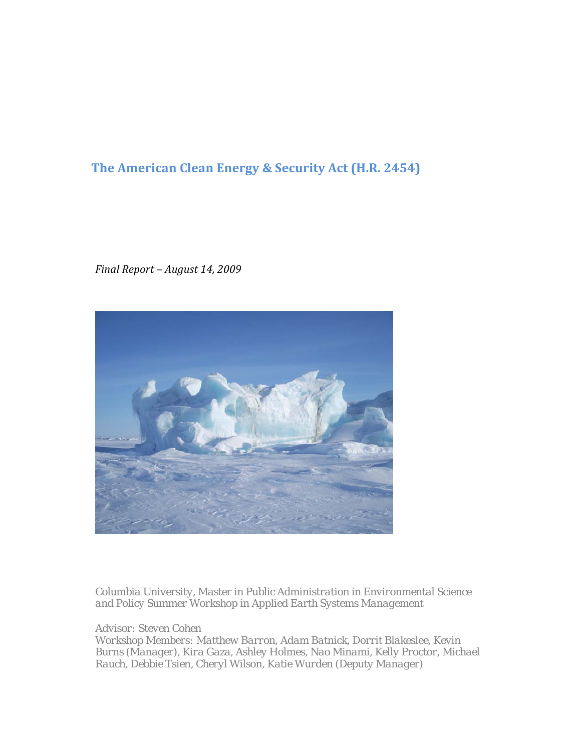# **The American Clean Energy & Security Act (H.R. 2454)**

*Final Report – August 14, 2009*



*Columbia University, Master in Public Administration in Environmental Science and Policy Summer Workshop in Applied Earth Systems Management* 

*Advisor: Steven Cohen* 

*Workshop Members: Matthew Barron, Adam Batnick, Dorrit Blakeslee, Kevin Burns (Manager), Kira Gaza, Ashley Holmes, Nao Minami, Kelly Proctor, Michael Rauch, Debbie Tsien, Cheryl Wilson, Katie Wurden (Deputy Manager)*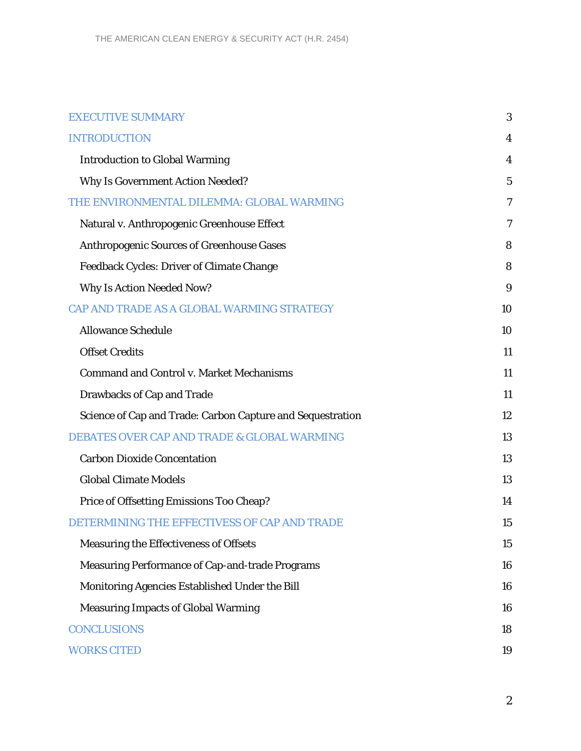| <b>EXECUTIVE SUMMARY</b>                                   | 3              |
|------------------------------------------------------------|----------------|
| <b>INTRODUCTION</b>                                        | 4              |
| <b>Introduction to Global Warming</b>                      | 4              |
| <b>Why Is Government Action Needed?</b>                    | $\overline{5}$ |
| THE ENVIRONMENTAL DILEMMA: GLOBAL WARMING                  | 7              |
| Natural v. Anthropogenic Greenhouse Effect                 | 7              |
| <b>Anthropogenic Sources of Greenhouse Gases</b>           | 8              |
| <b>Feedback Cycles: Driver of Climate Change</b>           | 8              |
| <b>Why Is Action Needed Now?</b>                           | 9              |
| CAP AND TRADE AS A GLOBAL WARMING STRATEGY                 | 10             |
| <b>Allowance Schedule</b>                                  | 10             |
| <b>Offset Credits</b>                                      | 11             |
| <b>Command and Control v. Market Mechanisms</b>            | 11             |
| <b>Drawbacks of Cap and Trade</b>                          | 11             |
| Science of Cap and Trade: Carbon Capture and Sequestration | 12             |
| <b>DEBATES OVER CAP AND TRADE &amp; GLOBAL WARMING</b>     | 13             |
| <b>Carbon Dioxide Concentation</b>                         | 13             |
| <b>Global Climate Models</b>                               | 13             |
| Price of Offsetting Emissions Too Cheap?                   | 14             |
| DETERMINING THE EFFECTIVESS OF CAP AND TRADE               | 15             |
| Measuring the Effectiveness of Offsets                     | 15             |
| <b>Measuring Performance of Cap-and-trade Programs</b>     | 16             |
| Monitoring Agencies Established Under the Bill             | 16             |
| <b>Measuring Impacts of Global Warming</b>                 | 16             |
| <b>CONCLUSIONS</b>                                         | 18             |
| <b>WORKS CITED</b>                                         | 19             |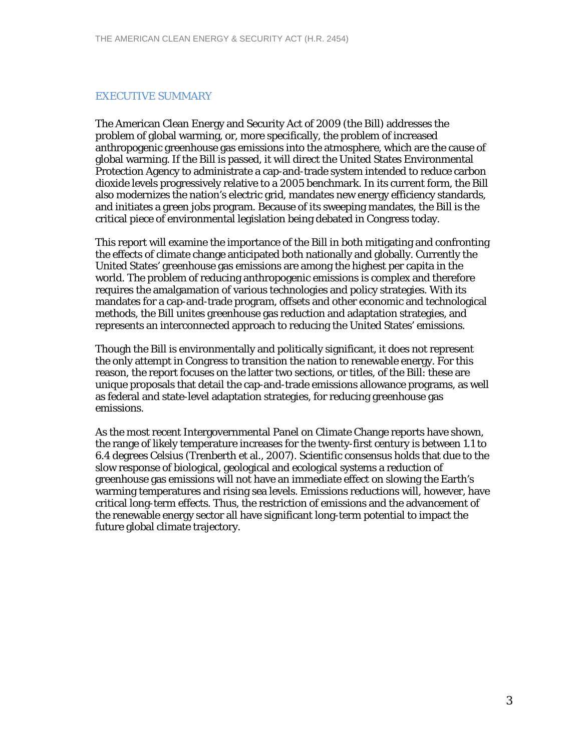# EXECUTIVE SUMMARY

The American Clean Energy and Security Act of 2009 (the Bill) addresses the problem of global warming, or, more specifically, the problem of increased anthropogenic greenhouse gas emissions into the atmosphere, which are the cause of global warming. If the Bill is passed, it will direct the United States Environmental Protection Agency to administrate a cap-and-trade system intended to reduce carbon dioxide levels progressively relative to a 2005 benchmark. In its current form, the Bill also modernizes the nation's electric grid, mandates new energy efficiency standards, and initiates a green jobs program. Because of its sweeping mandates, the Bill is the critical piece of environmental legislation being debated in Congress today.

This report will examine the importance of the Bill in both mitigating and confronting the effects of climate change anticipated both nationally and globally. Currently the United States' greenhouse gas emissions are among the highest per capita in the world. The problem of reducing anthropogenic emissions is complex and therefore requires the amalgamation of various technologies and policy strategies. With its mandates for a cap-and-trade program, offsets and other economic and technological methods, the Bill unites greenhouse gas reduction and adaptation strategies, and represents an interconnected approach to reducing the United States' emissions.

Though the Bill is environmentally and politically significant, it does not represent the only attempt in Congress to transition the nation to renewable energy. For this reason, the report focuses on the latter two sections, or titles, of the Bill: these are unique proposals that detail the cap-and-trade emissions allowance programs, as well as federal and state-level adaptation strategies, for reducing greenhouse gas emissions.

As the most recent Intergovernmental Panel on Climate Change reports have shown, the range of likely temperature increases for the twenty-first century is between 1.1 to 6.4 degrees Celsius (Trenberth et al., 2007). Scientific consensus holds that due to the slow response of biological, geological and ecological systems a reduction of greenhouse gas emissions will not have an immediate effect on slowing the Earth's warming temperatures and rising sea levels. Emissions reductions will, however, have critical long-term effects. Thus, the restriction of emissions and the advancement of the renewable energy sector all have significant long-term potential to impact the future global climate trajectory.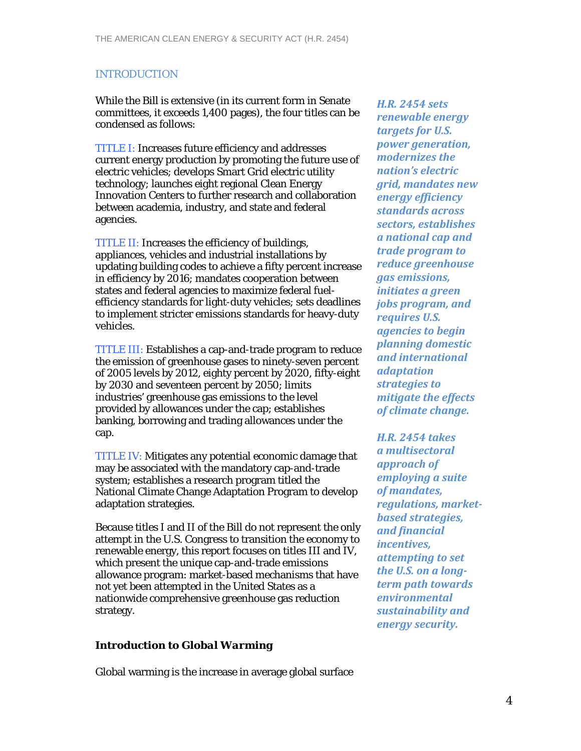# INTRODUCTION

While the Bill is extensive (in its current form in Senate committees, it exceeds 1,400 pages), the four titles can be condensed as follows:

TITLE I: Increases future efficiency and addresses current energy production by promoting the future use of electric vehicles; develops Smart Grid electric utility technology; launches eight regional Clean Energy Innovation Centers to further research and collaboration between academia, industry, and state and federal agencies.

TITLE II: Increases the efficiency of buildings, appliances, vehicles and industrial installations by updating building codes to achieve a fifty percent increase in efficiency by 2016; mandates cooperation between states and federal agencies to maximize federal fuelefficiency standards for light-duty vehicles; sets deadlines to implement stricter emissions standards for heavy-duty vehicles.

TITLE III: Establishes a cap-and-trade program to reduce the emission of greenhouse gases to ninety-seven percent of 2005 levels by 2012, eighty percent by 2020, fifty-eight by 2030 and seventeen percent by 2050; limits industries' greenhouse gas emissions to the level provided by allowances under the cap; establishes banking, borrowing and trading allowances under the cap.

TITLE IV: Mitigates any potential economic damage that may be associated with the mandatory cap-and-trade system; establishes a research program titled the National Climate Change Adaptation Program to develop adaptation strategies.

Because titles I and II of the Bill do not represent the only attempt in the U.S. Congress to transition the economy to renewable energy, this report focuses on titles III and IV, which present the unique cap-and-trade emissions allowance program: market-based mechanisms that have not yet been attempted in the United States as a nationwide comprehensive greenhouse gas reduction strategy.

# *Introduction to Global Warming*

*H.R. 2454 sets renewable energy targets for U.S. power generation, modernizes the nation's electric grid, mandates new energy efficiency standards across sectors, establishes a national cap and trade program to reduce greenhouse gas emissions, initiates a green jobs program, and requires U.S. agencies to begin planning domestic and international adaptation strategies to mitigate the effects of climate change.* 

*H.R. 2454 takes a multisectoral approach of employing a suite of mandates, regulations, marketbased strategies, and financial incentives, attempting to set the U.S. on a longterm path towards environmental sustainability and energy security.*

Global warming is the increase in average global surface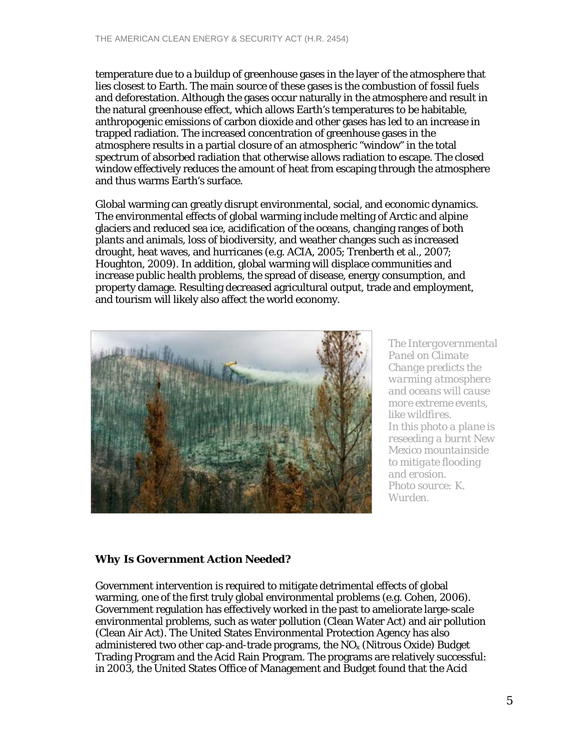temperature due to a buildup of greenhouse gases in the layer of the atmosphere that lies closest to Earth. The main source of these gases is the combustion of fossil fuels and deforestation. Although the gases occur naturally in the atmosphere and result in the natural greenhouse effect, which allows Earth's temperatures to be habitable, anthropogenic emissions of carbon dioxide and other gases has led to an increase in trapped radiation. The increased concentration of greenhouse gases in the atmosphere results in a partial closure of an atmospheric "window" in the total spectrum of absorbed radiation that otherwise allows radiation to escape. The closed window effectively reduces the amount of heat from escaping through the atmosphere and thus warms Earth's surface.

Global warming can greatly disrupt environmental, social, and economic dynamics. The environmental effects of global warming include melting of Arctic and alpine glaciers and reduced sea ice, acidification of the oceans, changing ranges of both plants and animals, loss of biodiversity, and weather changes such as increased drought, heat waves, and hurricanes (e.g. ACIA, 2005; Trenberth et al., 2007; Houghton, 2009). In addition, global warming will displace communities and increase public health problems, the spread of disease, energy consumption, and property damage. Resulting decreased agricultural output, trade and employment, and tourism will likely also affect the world economy.



*The Intergovernmental Panel on Climate Change predicts the warming atmosphere and oceans will cause more extreme events, like wildfires. In this photo a plane is reseeding a burnt New Mexico mountainside to mitigate flooding and erosion. Photo source: K. Wurden.* 

# *Why Is Government Action Needed?*

Government intervention is required to mitigate detrimental effects of global warming, one of the first truly global environmental problems (e.g. Cohen, 2006). Government regulation has effectively worked in the past to ameliorate large-scale environmental problems, such as water pollution (Clean Water Act) and air pollution (Clean Air Act). The United States Environmental Protection Agency has also administered two other cap-and-trade programs, the  $NO<sub>x</sub>$  (Nitrous Oxide) Budget Trading Program and the Acid Rain Program. The programs are relatively successful: in 2003, the United States Office of Management and Budget found that the Acid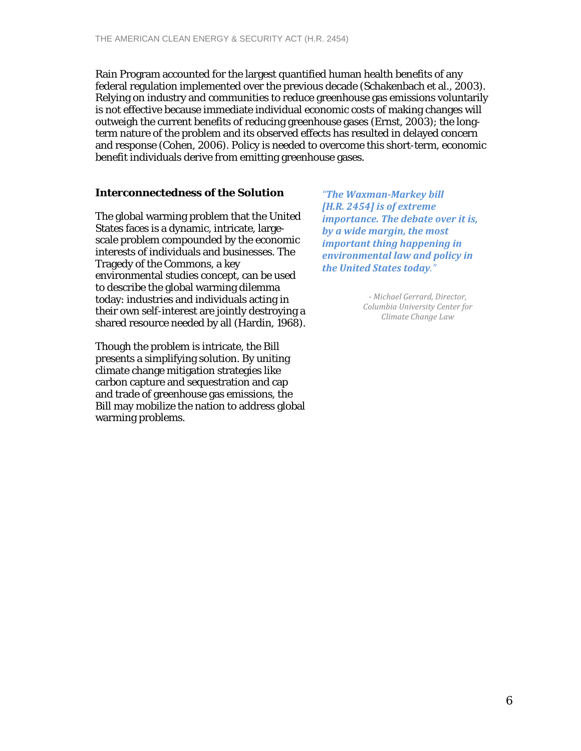Rain Program accounted for the largest quantified human health benefits of any federal regulation implemented over the previous decade (Schakenbach et al., 2003). Relying on industry and communities to reduce greenhouse gas emissions voluntarily is not effective because immediate individual economic costs of making changes will outweigh the current benefits of reducing greenhouse gases (Ernst, 2003); the longterm nature of the problem and its observed effects has resulted in delayed concern and response (Cohen, 2006). Policy is needed to overcome this short-term, economic benefit individuals derive from emitting greenhouse gases.

# *Interconnectedness of the Solution*

The global warming problem that the United States faces is a dynamic, intricate, largescale problem compounded by the economic interests of individuals and businesses. The Tragedy of the Commons, a key environmental studies concept, can be used to describe the global warming dilemma today: industries and individuals acting in their own self-interest are jointly destroying a shared resource needed by all (Hardin, 1968).

Though the problem is intricate, the Bill presents a simplifying solution. By uniting climate change mitigation strategies like carbon capture and sequestration and cap and trade of greenhouse gas emissions, the Bill may mobilize the nation to address global warming problems.

*"The WaxmanMarkey bill [H.R. 2454] is of extreme importance. The debate over it is, by a wide margin, the most important thing happening in environmental law and policy in the United States today."*

> *Michael Gerrard, Director, Columbia University Center for Climate Change Law*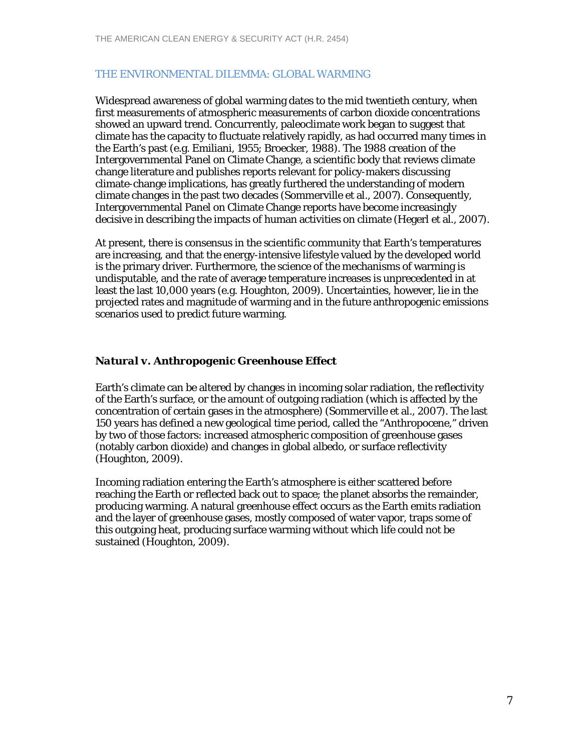### THE ENVIRONMENTAL DILEMMA: GLOBAL WARMING

Widespread awareness of global warming dates to the mid twentieth century, when first measurements of atmospheric measurements of carbon dioxide concentrations showed an upward trend. Concurrently, paleoclimate work began to suggest that climate has the capacity to fluctuate relatively rapidly, as had occurred many times in the Earth's past (e.g. Emiliani, 1955; Broecker, 1988). The 1988 creation of the Intergovernmental Panel on Climate Change, a scientific body that reviews climate change literature and publishes reports relevant for policy-makers discussing climate-change implications, has greatly furthered the understanding of modern climate changes in the past two decades (Sommerville et al., 2007). Consequently, Intergovernmental Panel on Climate Change reports have become increasingly decisive in describing the impacts of human activities on climate (Hegerl et al., 2007).

At present, there is consensus in the scientific community that Earth's temperatures are increasing, and that the energy-intensive lifestyle valued by the developed world is the primary driver. Furthermore, the science of the mechanisms of warming is undisputable, and the rate of average temperature increases is unprecedented in at least the last 10,000 years (e.g. Houghton, 2009). Uncertainties, however, lie in the projected rates and magnitude of warming and in the future anthropogenic emissions scenarios used to predict future warming.

# *Natural v. Anthropogenic Greenhouse Effect*

Earth's climate can be altered by changes in incoming solar radiation, the reflectivity of the Earth's surface, or the amount of outgoing radiation (which is affected by the concentration of certain gases in the atmosphere) (Sommerville et al., 2007). The last 150 years has defined a new geological time period, called the "Anthropocene," driven by two of those factors: increased atmospheric composition of greenhouse gases (notably carbon dioxide) and changes in global albedo, or surface reflectivity (Houghton, 2009).

Incoming radiation entering the Earth's atmosphere is either scattered before reaching the Earth or reflected back out to space; the planet absorbs the remainder, producing warming. A natural greenhouse effect occurs as the Earth emits radiation and the layer of greenhouse gases, mostly composed of water vapor, traps some of this outgoing heat, producing surface warming without which life could not be sustained (Houghton, 2009).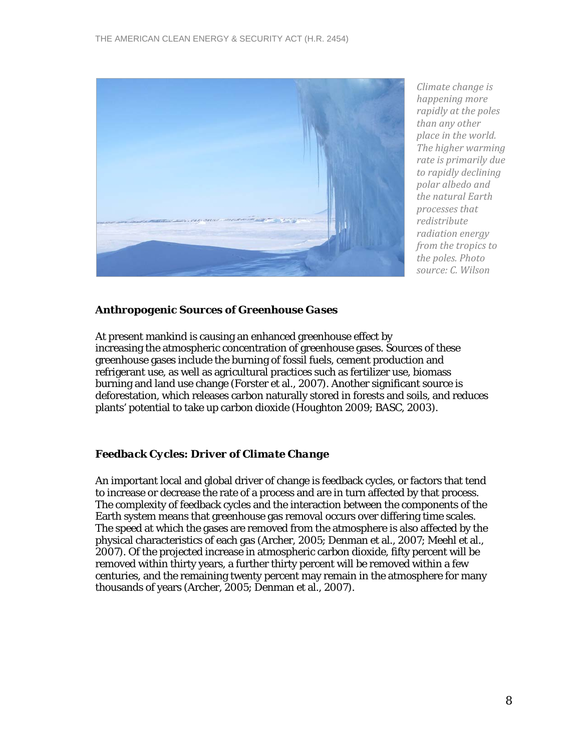

*Climate change is happening more rapidly at the poles than any other place in the world. The higher warming rate is primarily due to rapidly declining polar albedo and the natural Earth processes that redistribute radiation energy from the tropics to the poles. Photo source: C. Wilson*

# *Anthropogenic Sources of Greenhouse Gases*

At present mankind is causing an enhanced greenhouse effect by increasing the atmospheric concentration of greenhouse gases. Sources of these greenhouse gases include the burning of fossil fuels, cement production and refrigerant use, as well as agricultural practices such as fertilizer use, biomass burning and land use change (Forster et al., 2007). Another significant source is deforestation, which releases carbon naturally stored in forests and soils, and reduces plants' potential to take up carbon dioxide (Houghton 2009; BASC, 2003).

# *Feedback Cycles: Driver of Climate Change*

An important local and global driver of change is feedback cycles, or factors that tend to increase or decrease the rate of a process and are in turn affected by that process. The complexity of feedback cycles and the interaction between the components of the Earth system means that greenhouse gas removal occurs over differing time scales. The speed at which the gases are removed from the atmosphere is also affected by the physical characteristics of each gas (Archer, 2005; Denman et al., 2007; Meehl et al., 2007). Of the projected increase in atmospheric carbon dioxide, fifty percent will be removed within thirty years, a further thirty percent will be removed within a few centuries, and the remaining twenty percent may remain in the atmosphere for many thousands of years (Archer, 2005; Denman et al., 2007).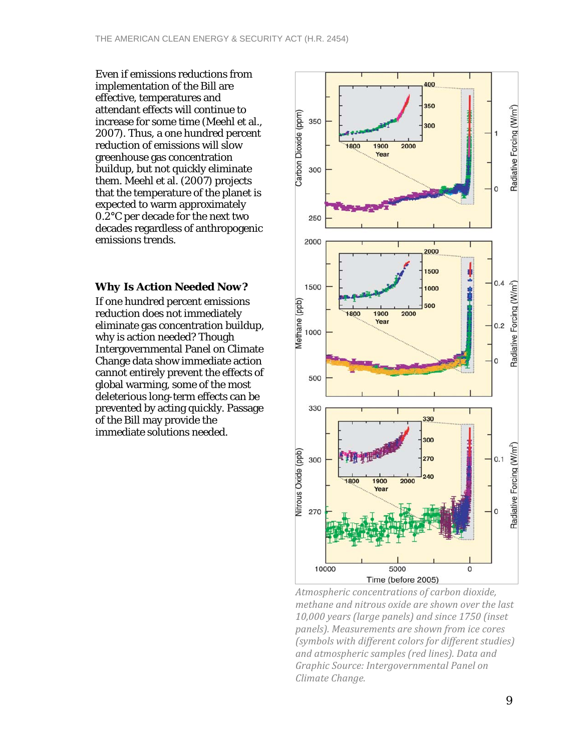Even if emissions reductions from implementation of the Bill are effective, temperatures and attendant effects will continue to increase for some time (Meehl et al., 2007). Thus, a one hundred percent reduction of emissions will slow greenhouse gas concentration buildup, but not quickly eliminate them. Meehl et al. (2007) projects that the temperature of the planet is expected to warm approximately 0.2°C per decade for the next two decades regardless of anthropogenic emissions trends.

#### *Why Is Action Needed Now?*

If one hundred percent emissions reduction does not immediately eliminate gas concentration buildup, why is action needed? Though Intergovernmental Panel on Climate Change data show immediate action cannot entirely prevent the effects of global warming, some of the most deleterious long-term effects can be prevented by acting quickly. Passage of the Bill may provide the immediate solutions needed.



*Atmospheric concentrations of carbon dioxide, methane and nitrous oxide are shown over the last 10,000 years (large panels) and since 1750 (inset panels). Measurements are shown from ice cores (symbols with different colors for different studies) and atmospheric samples (red lines). Data and Graphic Source: Intergovernmental Panel on Climate Change.*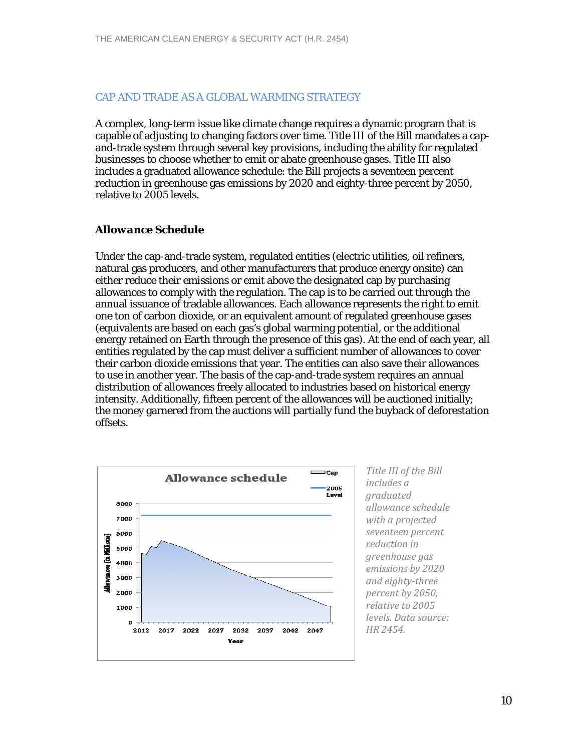#### CAP AND TRADE AS A GLOBAL WARMING STRATEGY

A complex, long-term issue like climate change requires a dynamic program that is capable of adjusting to changing factors over time. Title III of the Bill mandates a capand-trade system through several key provisions, including the ability for regulated businesses to choose whether to emit or abate greenhouse gases. Title III also includes a graduated allowance schedule: the Bill projects a seventeen percent reduction in greenhouse gas emissions by 2020 and eighty-three percent by 2050, relative to 2005 levels.

#### *Allowance Schedule*

Under the cap-and-trade system, regulated entities (electric utilities, oil refiners, natural gas producers, and other manufacturers that produce energy onsite) can either reduce their emissions or emit above the designated cap by purchasing allowances to comply with the regulation. The cap is to be carried out through the annual issuance of tradable allowances. Each allowance represents the right to emit one ton of carbon dioxide, or an equivalent amount of regulated greenhouse gases (equivalents are based on each gas's global warming potential, or the additional energy retained on Earth through the presence of this gas). At the end of each year, all entities regulated by the cap must deliver a sufficient number of allowances to cover their carbon dioxide emissions that year. The entities can also save their allowances to use in another year. The basis of the cap-and-trade system requires an annual distribution of allowances freely allocated to industries based on historical energy intensity. Additionally, fifteen percent of the allowances will be auctioned initially; the money garnered from the auctions will partially fund the buyback of deforestation offsets.



*Title III of the Bill includes a graduated allowance schedule with a projected seventeen percent reduction in greenhouse gas emissions by 2020 and eightythree percent by 2050, relative to 2005 levels. Data source: HR 2454.*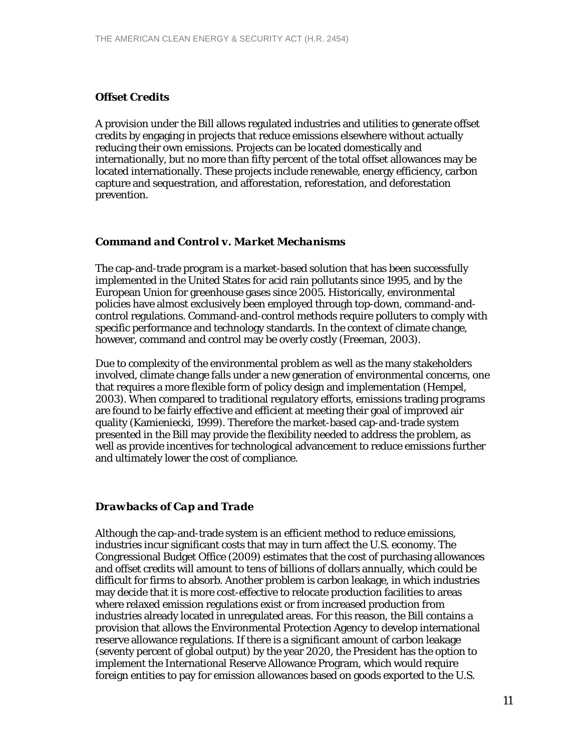#### *Offset Credits*

A provision under the Bill allows regulated industries and utilities to generate offset credits by engaging in projects that reduce emissions elsewhere without actually reducing their own emissions. Projects can be located domestically and internationally, but no more than fifty percent of the total offset allowances may be located internationally. These projects include renewable, energy efficiency, carbon capture and sequestration, and afforestation, reforestation, and deforestation prevention.

#### *Command and Control v. Market Mechanisms*

The cap-and-trade program is a market-based solution that has been successfully implemented in the United States for acid rain pollutants since 1995, and by the European Union for greenhouse gases since 2005. Historically, environmental policies have almost exclusively been employed through top-down, command-andcontrol regulations. Command-and-control methods require polluters to comply with specific performance and technology standards. In the context of climate change, however, command and control may be overly costly (Freeman, 2003).

Due to complexity of the environmental problem as well as the many stakeholders involved, climate change falls under a new generation of environmental concerns, one that requires a more flexible form of policy design and implementation (Hempel, 2003). When compared to traditional regulatory efforts, emissions trading programs are found to be fairly effective and efficient at meeting their goal of improved air quality (Kamieniecki, 1999). Therefore the market-based cap-and-trade system presented in the Bill may provide the flexibility needed to address the problem, as well as provide incentives for technological advancement to reduce emissions further and ultimately lower the cost of compliance.

### *Drawbacks of Cap and Trade*

Although the cap-and-trade system is an efficient method to reduce emissions, industries incur significant costs that may in turn affect the U.S. economy. The Congressional Budget Office (2009) estimates that the cost of purchasing allowances and offset credits will amount to tens of billions of dollars annually, which could be difficult for firms to absorb. Another problem is carbon leakage, in which industries may decide that it is more cost-effective to relocate production facilities to areas where relaxed emission regulations exist or from increased production from industries already located in unregulated areas. For this reason, the Bill contains a provision that allows the Environmental Protection Agency to develop international reserve allowance regulations. If there is a significant amount of carbon leakage (seventy percent of global output) by the year 2020, the President has the option to implement the International Reserve Allowance Program, which would require foreign entities to pay for emission allowances based on goods exported to the U.S.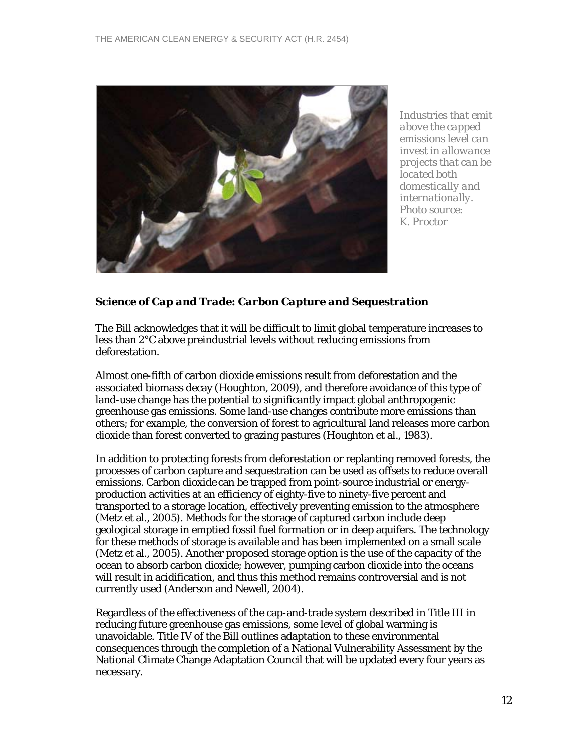

*Industries that emit above the capped emissions level can invest in allowance projects that can be located both domestically and internationally. Photo source: K. Proctor* 

# *Science of Cap and Trade: Carbon Capture and Sequestration*

The Bill acknowledges that it will be difficult to limit global temperature increases to less than 2°C above preindustrial levels without reducing emissions from deforestation.

Almost one-fifth of carbon dioxide emissions result from deforestation and the associated biomass decay (Houghton, 2009), and therefore avoidance of this type of land-use change has the potential to significantly impact global anthropogenic greenhouse gas emissions. Some land-use changes contribute more emissions than others; for example, the conversion of forest to agricultural land releases more carbon dioxide than forest converted to grazing pastures (Houghton et al., 1983).

In addition to protecting forests from deforestation or replanting removed forests, the processes of carbon capture and sequestration can be used as offsets to reduce overall emissions. Carbon dioxide can be trapped from point-source industrial or energyproduction activities at an efficiency of eighty-five to ninety-five percent and transported to a storage location, effectively preventing emission to the atmosphere (Metz et al., 2005). Methods for the storage of captured carbon include deep geological storage in emptied fossil fuel formation or in deep aquifers. The technology for these methods of storage is available and has been implemented on a small scale (Metz et al., 2005). Another proposed storage option is the use of the capacity of the ocean to absorb carbon dioxide; however, pumping carbon dioxide into the oceans will result in acidification, and thus this method remains controversial and is not currently used (Anderson and Newell, 2004).

Regardless of the effectiveness of the cap-and-trade system described in Title III in reducing future greenhouse gas emissions, some level of global warming is unavoidable. Title IV of the Bill outlines adaptation to these environmental consequences through the completion of a National Vulnerability Assessment by the National Climate Change Adaptation Council that will be updated every four years as necessary.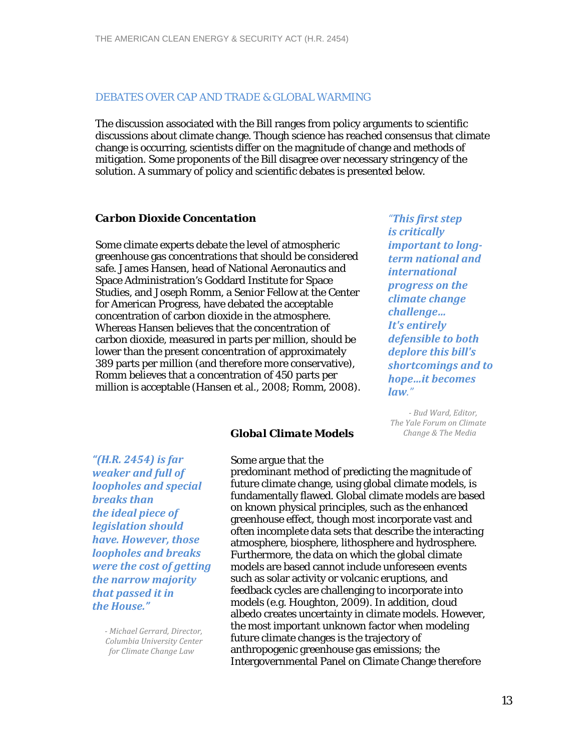#### DEBATES OVER CAP AND TRADE & GLOBAL WARMING

The discussion associated with the Bill ranges from policy arguments to scientific discussions about climate change. Though science has reached consensus that climate change is occurring, scientists differ on the magnitude of change and methods of mitigation. Some proponents of the Bill disagree over necessary stringency of the solution. A summary of policy and scientific debates is presented below.

*Global Climate Models* 

#### *Carbon Dioxide Concentation*

Some climate experts debate the level of atmospheric greenhouse gas concentrations that should be considered safe. James Hansen, head of National Aeronautics and Space Administration's Goddard Institute for Space Studies, and Joseph Romm, a Senior Fellow at the Center for American Progress, have debated the acceptable concentration of carbon dioxide in the atmosphere. Whereas Hansen believes that the concentration of carbon dioxide, measured in parts per million, should be lower than the present concentration of approximately 389 parts per million (and therefore more conservative), Romm believes that a concentration of 450 parts per million is acceptable (Hansen et al., 2008; Romm, 2008).

*"This first step is critically important to longterm national and international progress on the climate change challenge… It's entirely defensible to both deplore this bill's shortcomings and to hope…it becomes law."*

 *Bud Ward, Editor, The Yale Forum on Climate Change & The Media*

*"(H.R. 2454) is far weaker and full of loopholes and special breaks than the ideal piece of legislation should have. However, those loopholes and breaks were the cost of getting the narrow majority that passed it in the House."*

> *Michael Gerrard, Director, Columbia University Center for Climate Change Law*

Some argue that the predominant method of predicting the magnitude of future climate change, using global climate models, is fundamentally flawed. Global climate models are based on known physical principles, such as the enhanced greenhouse effect, though most incorporate vast and often incomplete data sets that describe the interacting atmosphere, biosphere, lithosphere and hydrosphere. Furthermore, the data on which the global climate models are based cannot include unforeseen events such as solar activity or volcanic eruptions, and feedback cycles are challenging to incorporate into models (e.g. Houghton, 2009). In addition, cloud albedo creates uncertainty in climate models. However, the most important unknown factor when modeling future climate changes is the trajectory of anthropogenic greenhouse gas emissions; the Intergovernmental Panel on Climate Change therefore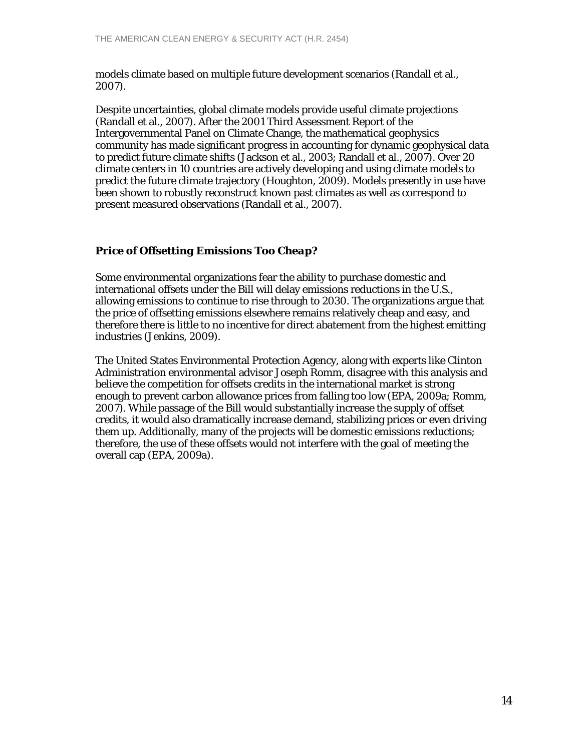models climate based on multiple future development scenarios (Randall et al., 2007).

Despite uncertainties, global climate models provide useful climate projections (Randall et al., 2007). After the 2001 Third Assessment Report of the Intergovernmental Panel on Climate Change, the mathematical geophysics community has made significant progress in accounting for dynamic geophysical data to predict future climate shifts (Jackson et al., 2003; Randall et al., 2007). Over 20 climate centers in 10 countries are actively developing and using climate models to predict the future climate trajectory (Houghton, 2009). Models presently in use have been shown to robustly reconstruct known past climates as well as correspond to present measured observations (Randall et al., 2007).

# *Price of Offsetting Emissions Too Cheap?*

Some environmental organizations fear the ability to purchase domestic and international offsets under the Bill will delay emissions reductions in the U.S., allowing emissions to continue to rise through to 2030. The organizations argue that the price of offsetting emissions elsewhere remains relatively cheap and easy, and therefore there is little to no incentive for direct abatement from the highest emitting industries (Jenkins, 2009).

The United States Environmental Protection Agency, along with experts like Clinton Administration environmental advisor Joseph Romm, disagree with this analysis and believe the competition for offsets credits in the international market is strong enough to prevent carbon allowance prices from falling too low (EPA, 2009a; Romm, 2007). While passage of the Bill would substantially increase the supply of offset credits, it would also dramatically increase demand, stabilizing prices or even driving them up. Additionally, many of the projects will be domestic emissions reductions; therefore, the use of these offsets would not interfere with the goal of meeting the overall cap (EPA, 2009a).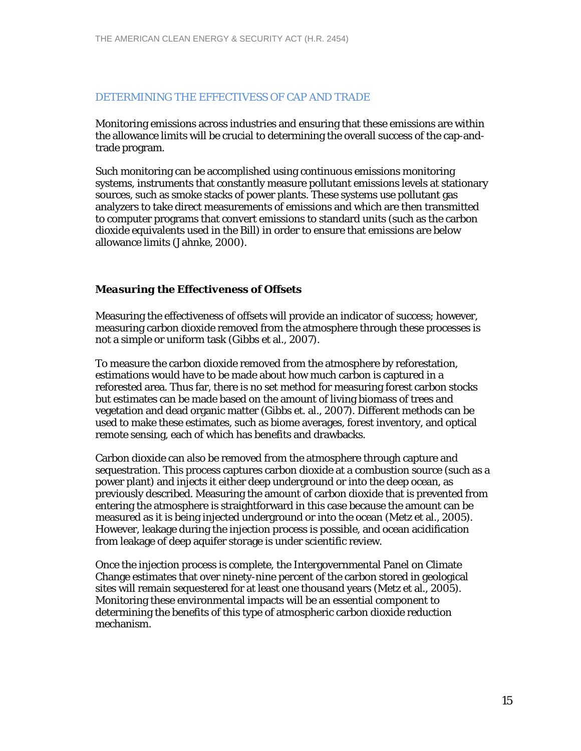#### DETERMINING THE EFFECTIVESS OF CAP AND TRADE

Monitoring emissions across industries and ensuring that these emissions are within the allowance limits will be crucial to determining the overall success of the cap-andtrade program.

Such monitoring can be accomplished using continuous emissions monitoring systems, instruments that constantly measure pollutant emissions levels at stationary sources, such as smoke stacks of power plants. These systems use pollutant gas analyzers to take direct measurements of emissions and which are then transmitted to computer programs that convert emissions to standard units (such as the carbon dioxide equivalents used in the Bill) in order to ensure that emissions are below allowance limits (Jahnke, 2000).

#### *Measuring the Effectiveness of Offsets*

Measuring the effectiveness of offsets will provide an indicator of success; however, measuring carbon dioxide removed from the atmosphere through these processes is not a simple or uniform task (Gibbs et al., 2007).

To measure the carbon dioxide removed from the atmosphere by reforestation, estimations would have to be made about how much carbon is captured in a reforested area. Thus far, there is no set method for measuring forest carbon stocks but estimates can be made based on the amount of living biomass of trees and vegetation and dead organic matter (Gibbs et. al., 2007). Different methods can be used to make these estimates, such as biome averages, forest inventory, and optical remote sensing, each of which has benefits and drawbacks.

Carbon dioxide can also be removed from the atmosphere through capture and sequestration. This process captures carbon dioxide at a combustion source (such as a power plant) and injects it either deep underground or into the deep ocean, as previously described. Measuring the amount of carbon dioxide that is prevented from entering the atmosphere is straightforward in this case because the amount can be measured as it is being injected underground or into the ocean (Metz et al., 2005). However, leakage during the injection process is possible, and ocean acidification from leakage of deep aquifer storage is under scientific review.

Once the injection process is complete, the Intergovernmental Panel on Climate Change estimates that over ninety-nine percent of the carbon stored in geological sites will remain sequestered for at least one thousand years (Metz et al., 2005). Monitoring these environmental impacts will be an essential component to determining the benefits of this type of atmospheric carbon dioxide reduction mechanism.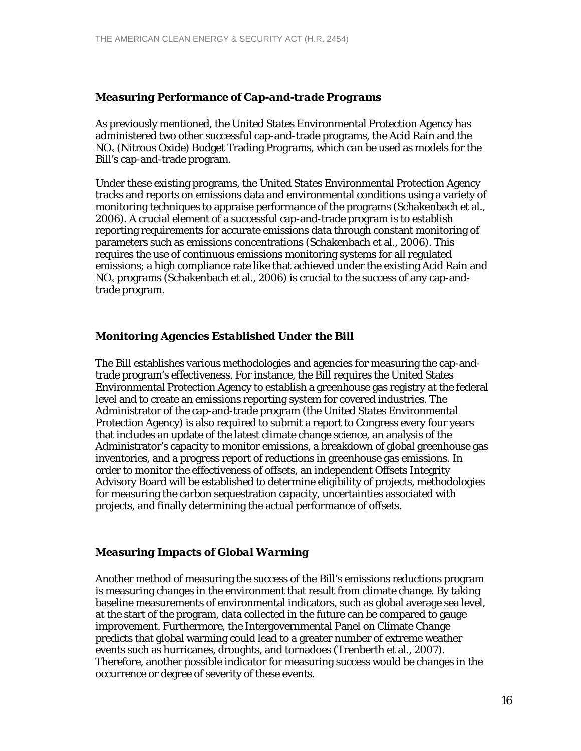# *Measuring Performance of Cap-and-trade Programs*

As previously mentioned, the United States Environmental Protection Agency has administered two other successful cap-and-trade programs, the Acid Rain and the  $NO<sub>x</sub>$  (Nitrous Oxide) Budget Trading Programs, which can be used as models for the Bill's cap-and-trade program.

Under these existing programs, the United States Environmental Protection Agency tracks and reports on emissions data and environmental conditions using a variety of monitoring techniques to appraise performance of the programs (Schakenbach et al., 2006). A crucial element of a successful cap-and-trade program is to establish reporting requirements for accurate emissions data through constant monitoring of parameters such as emissions concentrations (Schakenbach et al., 2006). This requires the use of continuous emissions monitoring systems for all regulated emissions; a high compliance rate like that achieved under the existing Acid Rain and  $NO<sub>x</sub>$  programs (Schakenbach et al., 2006) is crucial to the success of any cap-andtrade program.

# *Monitoring Agencies Established Under the Bill*

The Bill establishes various methodologies and agencies for measuring the cap-andtrade program's effectiveness. For instance, the Bill requires the United States Environmental Protection Agency to establish a greenhouse gas registry at the federal level and to create an emissions reporting system for covered industries. The Administrator of the cap-and-trade program (the United States Environmental Protection Agency) is also required to submit a report to Congress every four years that includes an update of the latest climate change science, an analysis of the Administrator's capacity to monitor emissions, a breakdown of global greenhouse gas inventories, and a progress report of reductions in greenhouse gas emissions. In order to monitor the effectiveness of offsets, an independent Offsets Integrity Advisory Board will be established to determine eligibility of projects, methodologies for measuring the carbon sequestration capacity, uncertainties associated with projects, and finally determining the actual performance of offsets.

#### *Measuring Impacts of Global Warming*

Another method of measuring the success of the Bill's emissions reductions program is measuring changes in the environment that result from climate change. By taking baseline measurements of environmental indicators, such as global average sea level, at the start of the program, data collected in the future can be compared to gauge improvement. Furthermore, the Intergovernmental Panel on Climate Change predicts that global warming could lead to a greater number of extreme weather events such as hurricanes, droughts, and tornadoes (Trenberth et al., 2007). Therefore, another possible indicator for measuring success would be changes in the occurrence or degree of severity of these events.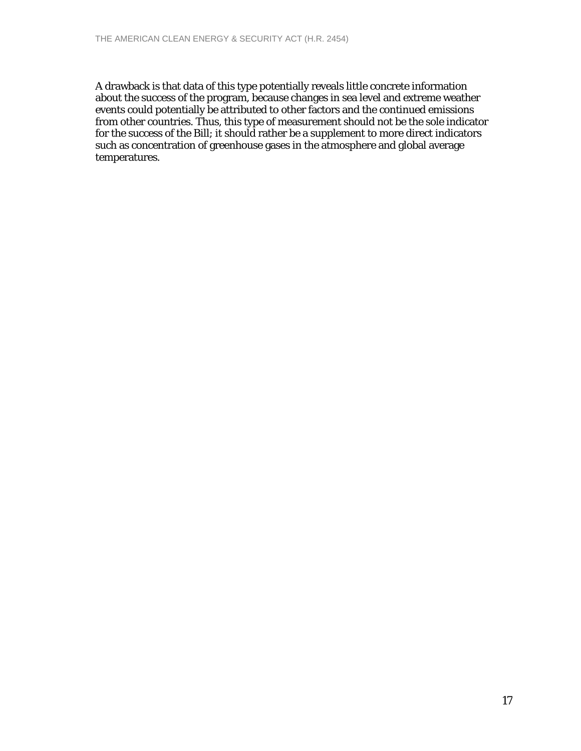A drawback is that data of this type potentially reveals little concrete information about the success of the program, because changes in sea level and extreme weather events could potentially be attributed to other factors and the continued emissions from other countries. Thus, this type of measurement should not be the sole indicator for the success of the Bill; it should rather be a supplement to more direct indicators such as concentration of greenhouse gases in the atmosphere and global average temperatures.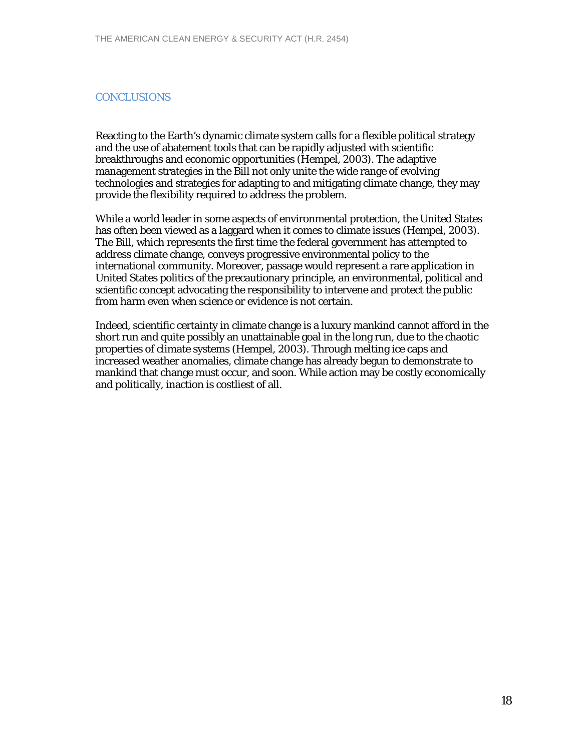# **CONCLUSIONS**

Reacting to the Earth's dynamic climate system calls for a flexible political strategy and the use of abatement tools that can be rapidly adjusted with scientific breakthroughs and economic opportunities (Hempel, 2003). The adaptive management strategies in the Bill not only unite the wide range of evolving technologies and strategies for adapting to and mitigating climate change, they may provide the flexibility required to address the problem.

While a world leader in some aspects of environmental protection, the United States has often been viewed as a laggard when it comes to climate issues (Hempel, 2003). The Bill, which represents the first time the federal government has attempted to address climate change, conveys progressive environmental policy to the international community. Moreover, passage would represent a rare application in United States politics of the precautionary principle, an environmental, political and scientific concept advocating the responsibility to intervene and protect the public from harm even when science or evidence is not certain.

Indeed, scientific certainty in climate change is a luxury mankind cannot afford in the short run and quite possibly an unattainable goal in the long run, due to the chaotic properties of climate systems (Hempel, 2003). Through melting ice caps and increased weather anomalies, climate change has already begun to demonstrate to mankind that change must occur, and soon. While action may be costly economically and politically, inaction is costliest of all.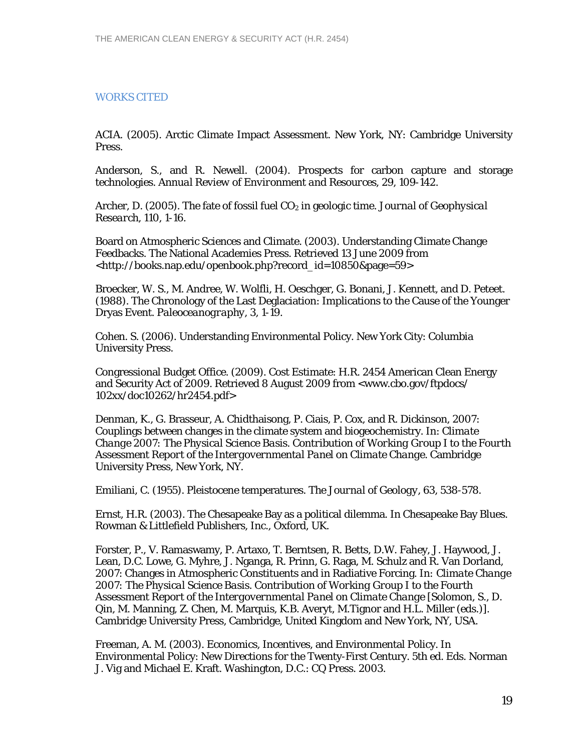# WORKS CITED

ACIA. (2005). Arctic Climate Impact Assessment. New York, NY: Cambridge University Press.

Anderson, S., and R. Newell. (2004). Prospects for carbon capture and storage technologies. *Annual Review of Environment and Resources*, *29,* 109-142.

Archer, D. (2005). The fate of fossil fuel CO<sub>2</sub> in geologic time. *Journal of Geophysical Research*, *110*, 1-16.

Board on Atmospheric Sciences and Climate. (2003). Understanding Climate Change Feedbacks. The National Academies Press. Retrieved 13 June 2009 from <http://books.nap.edu/openbook.php?record\_id=10850&page=59>

Broecker, W. S., M. Andree, W. Wolfli, H. Oeschger, G. Bonani, J. Kennett, and D. Peteet. (1988). The Chronology of the Last Deglaciation: Implications to the Cause of the Younger Dryas Event. *Paleoceanography*, *3,* 1-19.

Cohen. S. (2006). Understanding Environmental Policy. New York City: Columbia University Press.

Congressional Budget Office. (2009). Cost Estimate: H.R. 2454 American Clean Energy and Security Act of 2009. Retrieved 8 August 2009 from <www.cbo.gov/ftpdocs/ 102xx/doc10262/hr2454.pdf>

Denman, K., G. Brasseur, A. Chidthaisong, P. Ciais, P. Cox, and R. Dickinson, 2007: Couplings between changes in the climate system and biogeochemistry. *In*: *Climate Change 2007: The Physical Science Basis. Contribution of Working Group I to the Fourth Assessment Report of the Intergovernmental Panel on Climate Change.* Cambridge University Press, New York, NY.

Emiliani, C. (1955). Pleistocene temperatures. *The Journal of Geology, 63,* 538-578.

Ernst, H.R. (2003). The Chesapeake Bay as a political dilemma. *In* Chesapeake Bay Blues. Rowman & Littlefield Publishers, Inc., Oxford, UK.

Forster, P., V. Ramaswamy, P. Artaxo, T. Berntsen, R. Betts, D.W. Fahey, J. Haywood, J. Lean, D.C. Lowe, G. Myhre, J. Nganga, R. Prinn, G. Raga, M. Schulz and R. Van Dorland, 2007: Changes in Atmospheric Constituents and in Radiative Forcing. *In: Climate Change 2007: The Physical Science Basis. Contribution of Working Group I to the Fourth Assessment Report of the Intergovernmental Panel on Climate Change* [Solomon, S., D. Qin, M. Manning, Z. Chen, M. Marquis, K.B. Averyt, M.Tignor and H.L. Miller (eds.)]. Cambridge University Press, Cambridge, United Kingdom and New York, NY, USA.

Freeman, A. M. (2003). Economics, Incentives, and Environmental Policy. In Environmental Policy: New Directions for the Twenty-First Century. 5th ed. Eds. Norman J. Vig and Michael E. Kraft. Washington, D.C.: CQ Press. 2003.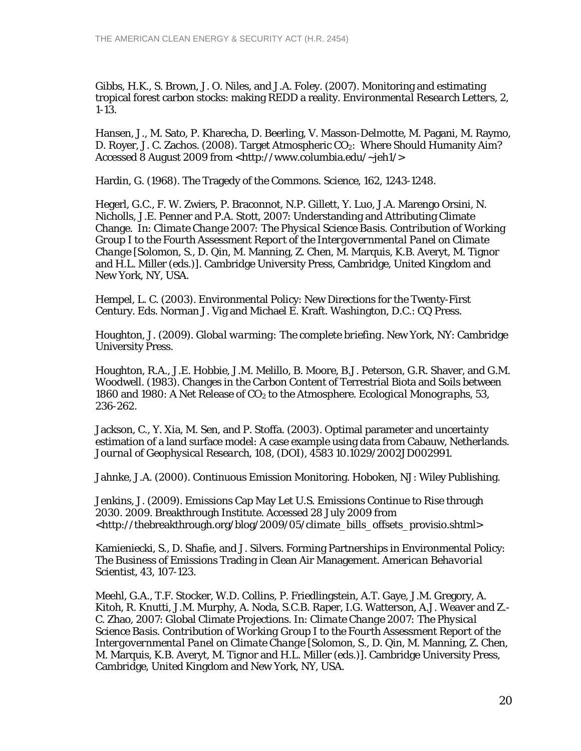Gibbs, H.K., S. Brown, J. O. Niles, and J.A. Foley. (2007). Monitoring and estimating tropical forest carbon stocks: making REDD a reality. *Environmental Research Letters, 2,* 1-13.

Hansen, J., M. Sato, P. Kharecha, D. Beerling, V. Masson-Delmotte, M. Pagani, M. Raymo, D. Royer, J. C. Zachos. (2008). Target Atmospheric CO<sub>2</sub>: Where Should Humanity Aim? Accessed 8 August 2009 from <http://www.columbia.edu/~jeh1/>

Hardin, G. (1968). The Tragedy of the Commons. *Science*, *162,* 1243-1248.

Hegerl, G.C., F. W. Zwiers, P. Braconnot, N.P. Gillett, Y. Luo, J.A. Marengo Orsini, N. Nicholls, J.E. Penner and P.A. Stott, 2007: Understanding and Attributing Climate Change. In: *Climate Change 2007: The Physical Science Basis. Contribution of Working Group I to the Fourth Assessment Report of the Intergovernmental Panel on Climate Change* [Solomon, S., D. Qin, M. Manning, Z. Chen, M. Marquis, K.B. Averyt, M. Tignor and H.L. Miller (eds.)]. Cambridge University Press, Cambridge, United Kingdom and New York, NY, USA.

Hempel, L. C. (2003). Environmental Policy: New Directions for the Twenty-First Century. Eds. Norman J. Vig and Michael E. Kraft. Washington, D.C.: CQ Press.

Houghton, J. (2009). *Global warming: The complete briefing*. New York, NY: Cambridge University Press.

Houghton, R.A., J.E. Hobbie, J.M. Melillo, B. Moore, B.J. Peterson, G.R. Shaver, and G.M. Woodwell. (1983). Changes in the Carbon Content of Terrestrial Biota and Soils between 1860 and 1980: A Net Release of CO2 to the Atmosphere. *Ecological Monographs*, *53,* 236-262.

Jackson, C., Y. Xia, M. Sen, and P. Stoffa. (2003). Optimal parameter and uncertainty estimation of a land surface model: A case example using data from Cabauw, Netherlands. *Journal of Geophysical Research, 108,* (DOI), 4583 10.1029/2002JD002991.

Jahnke, J.A. (2000). Continuous Emission Monitoring. Hoboken, NJ: Wiley Publishing.

Jenkins, J. (2009). Emissions Cap May Let U.S. Emissions Continue to Rise through 2030. 2009. Breakthrough Institute. Accessed 28 July 2009 from <http://thebreakthrough.org/blog/2009/05/climate\_bills\_offsets\_provisio.shtml>

Kamieniecki, S., D. Shafie, and J. Silvers. Forming Partnerships in Environmental Policy: The Business of Emissions Trading in Clean Air Management. *American Behavorial Scientist, 43*, 107-123.

Meehl, G.A., T.F. Stocker, W.D. Collins, P. Friedlingstein, A.T. Gaye, J.M. Gregory, A. Kitoh, R. Knutti, J.M. Murphy, A. Noda, S.C.B. Raper, I.G. Watterson, A.J. Weaver and Z.- C. Zhao, 2007: Global Climate Projections. In: *Climate Change 2007: The Physical Science Basis. Contribution of Working Group I to the Fourth Assessment Report of the Intergovernmental Panel on Climate Change* [Solomon, S., D. Qin, M. Manning, Z. Chen, M. Marquis, K.B. Averyt, M. Tignor and H.L. Miller (eds.)]. Cambridge University Press, Cambridge, United Kingdom and New York, NY, USA.